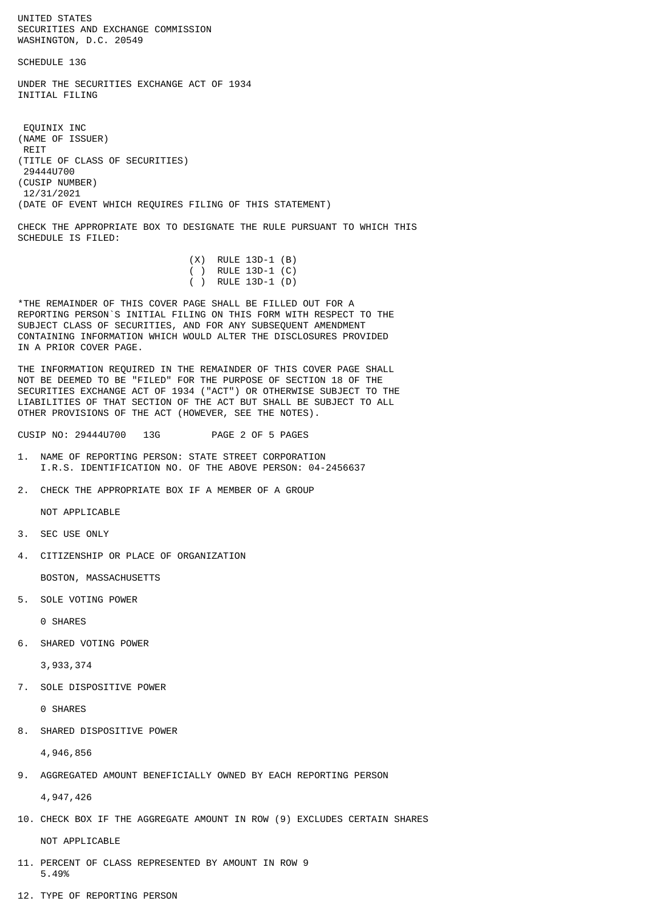UNITED STATES SECURITIES AND EXCHANGE COMMISSION WASHINGTON, D.C. 20549

SCHEDULE 13G

UNDER THE SECURITIES EXCHANGE ACT OF 1934 INITIAL FILING

 EQUINIX INC (NAME OF ISSUER) REIT (TITLE OF CLASS OF SECURITIES) 29444U700 (CUSIP NUMBER) 12/31/2021 (DATE OF EVENT WHICH REQUIRES FILING OF THIS STATEMENT)

CHECK THE APPROPRIATE BOX TO DESIGNATE THE RULE PURSUANT TO WHICH THIS SCHEDULE IS FILED:

|  | $(X)$ RULE 13D-1 $(B)$ |  |
|--|------------------------|--|
|  | ( ) RULE 13D-1 $(C)$   |  |
|  | ( ) RULE 13D-1 (D)     |  |

\*THE REMAINDER OF THIS COVER PAGE SHALL BE FILLED OUT FOR A REPORTING PERSON`S INITIAL FILING ON THIS FORM WITH RESPECT TO THE SUBJECT CLASS OF SECURITIES, AND FOR ANY SUBSEQUENT AMENDMENT CONTAINING INFORMATION WHICH WOULD ALTER THE DISCLOSURES PROVIDED IN A PRIOR COVER PAGE.

THE INFORMATION REQUIRED IN THE REMAINDER OF THIS COVER PAGE SHALL NOT BE DEEMED TO BE "FILED" FOR THE PURPOSE OF SECTION 18 OF THE SECURITIES EXCHANGE ACT OF 1934 ("ACT") OR OTHERWISE SUBJECT TO THE LIABILITIES OF THAT SECTION OF THE ACT BUT SHALL BE SUBJECT TO ALL OTHER PROVISIONS OF THE ACT (HOWEVER, SEE THE NOTES).

CUSIP NO: 29444U700 13G PAGE 2 OF 5 PAGES

- 1. NAME OF REPORTING PERSON: STATE STREET CORPORATION I.R.S. IDENTIFICATION NO. OF THE ABOVE PERSON: 04-2456637
- 2. CHECK THE APPROPRIATE BOX IF A MEMBER OF A GROUP

NOT APPLICABLE

- 3. SEC USE ONLY
- 4. CITIZENSHIP OR PLACE OF ORGANIZATION

BOSTON, MASSACHUSETTS

5. SOLE VOTING POWER

0 SHARES

6. SHARED VOTING POWER

3,933,374

7. SOLE DISPOSITIVE POWER

0 SHARES

8. SHARED DISPOSITIVE POWER

4,946,856

9. AGGREGATED AMOUNT BENEFICIALLY OWNED BY EACH REPORTING PERSON

4,947,426

10. CHECK BOX IF THE AGGREGATE AMOUNT IN ROW (9) EXCLUDES CERTAIN SHARES

NOT APPLICABLE

- 11. PERCENT OF CLASS REPRESENTED BY AMOUNT IN ROW 9 5.49%
- 12. TYPE OF REPORTING PERSON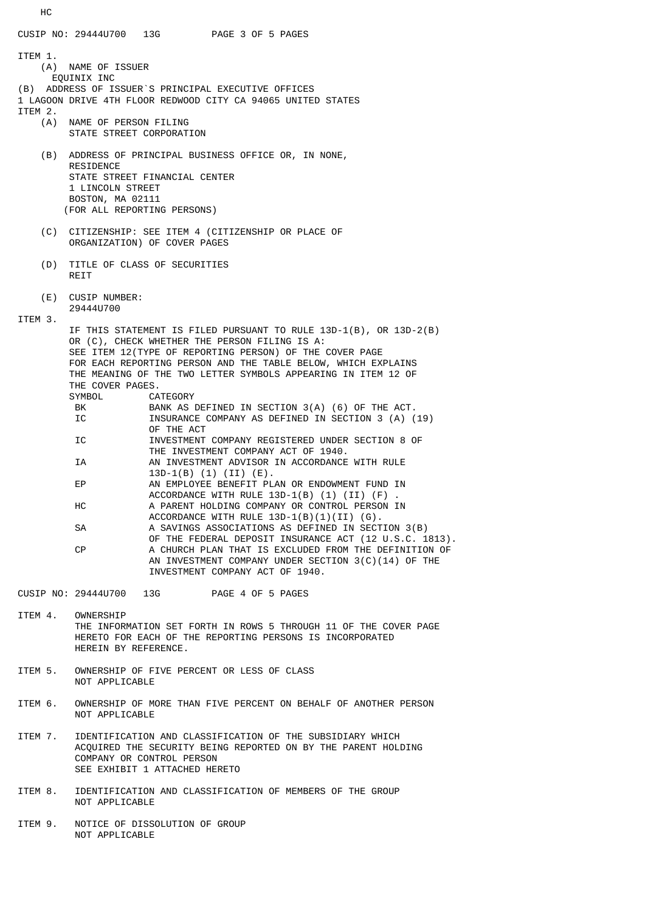HC CUSIP NO: 29444U700 13G PAGE 3 OF 5 PAGES ITEM 1. (A) NAME OF ISSUER EQUINIX INC (B) ADDRESS OF ISSUER`S PRINCIPAL EXECUTIVE OFFICES 1 LAGOON DRIVE 4TH FLOOR REDWOOD CITY CA 94065 UNITED STATES ITEM 2.<br>(A) NAME OF PERSON FILING STATE STREET CORPORATION (B) ADDRESS OF PRINCIPAL BUSINESS OFFICE OR, IN NONE, RESIDENCE STATE STREET FINANCIAL CENTER 1 LINCOLN STREET BOSTON, MA 02111 (FOR ALL REPORTING PERSONS) (C) CITIZENSHIP: SEE ITEM 4 (CITIZENSHIP OR PLACE OF ORGANIZATION) OF COVER PAGES (D) TITLE OF CLASS OF SECURITIES **RETT**  (E) CUSIP NUMBER: 29444U700 ITEM 3. IF THIS STATEMENT IS FILED PURSUANT TO RULE 13D-1(B), OR 13D-2(B) OR (C), CHECK WHETHER THE PERSON FILING IS A: SEE ITEM 12(TYPE OF REPORTING PERSON) OF THE COVER PAGE FOR EACH REPORTING PERSON AND THE TABLE BELOW, WHICH EXPLAINS THE MEANING OF THE TWO LETTER SYMBOLS APPEARING IN ITEM 12 OF THE COVER PAGES. SYMBOL CATEGORY BANK AS DEFINED IN SECTION 3(A) (6) OF THE ACT. IC **INSURANCE COMPANY AS DEFINED IN SECTION 3 (A) (19)**  OF THE ACT IC INVESTMENT COMPANY REGISTERED UNDER SECTION 8 OF THE INVESTMENT COMPANY ACT OF 1940. IA AN INVESTMENT ADVISOR IN ACCORDANCE WITH RULE 13D-1(B) (1) (II) (E).<br>EP AN EMPLOYEE BENEFIT PL AN EMPLOYEE BENEFIT PLAN OR ENDOWMENT FUND IN ACCORDANCE WITH RULE  $13D-1(B)$  (1) (II) (F) HC A PARENT HOLDING COMPANY OR CONTROL PERSON IN ACCORDANCE WITH RULE 13D-1(B)(1)(II) (G). SA A SAVINGS ASSOCIATIONS AS DEFINED IN SECTION 3(B) OF THE FEDERAL DEPOSIT INSURANCE ACT (12 U.S.C. 1813).<br>A CHURCH PLAN THAT IS EXCLUDED FROM THE DEFINITION OF A CHURCH PLAN THAT IS EXCLUDED FROM THE DEFINITION OF AN INVESTMENT COMPANY UNDER SECTION 3(C)(14) OF THE INVESTMENT COMPANY ACT OF 1940. CUSIP NO: 29444U700 13G PAGE 4 OF 5 PAGES ITEM 4. OWNERSHIP

- THE INFORMATION SET FORTH IN ROWS 5 THROUGH 11 OF THE COVER PAGE HERETO FOR EACH OF THE REPORTING PERSONS IS INCORPORATED HEREIN BY REFERENCE.
- ITEM 5. OWNERSHIP OF FIVE PERCENT OR LESS OF CLASS NOT APPLICABLE
- ITEM 6. OWNERSHIP OF MORE THAN FIVE PERCENT ON BEHALF OF ANOTHER PERSON NOT APPLICABLE
- ITEM 7. IDENTIFICATION AND CLASSIFICATION OF THE SUBSIDIARY WHICH ACQUIRED THE SECURITY BEING REPORTED ON BY THE PARENT HOLDING COMPANY OR CONTROL PERSON SEE EXHIBIT 1 ATTACHED HERETO
- ITEM 8. IDENTIFICATION AND CLASSIFICATION OF MEMBERS OF THE GROUP NOT APPLICABLE
- ITEM 9. NOTICE OF DISSOLUTION OF GROUP NOT APPLICABLE